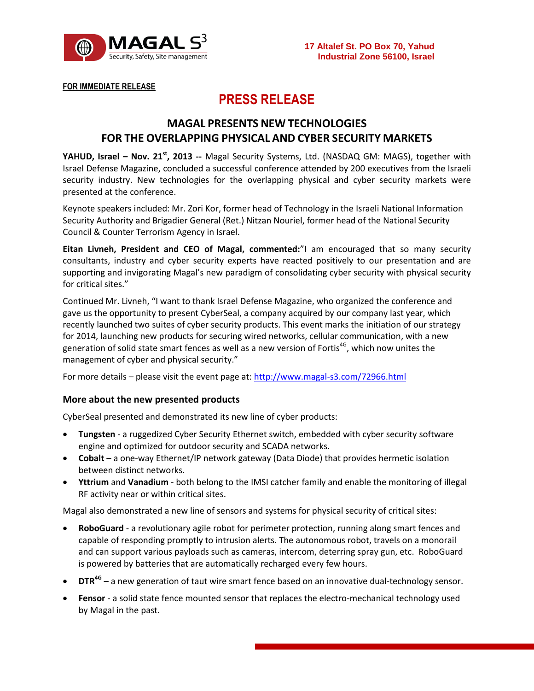

**FOR IMMEDIATE RELEASE**

# **PRESS RELEASE**

## **MAGAL PRESENTS NEW TECHNOLOGIES FOR THE OVERLAPPING PHYSICAL AND CYBER SECURITY MARKETS**

**YAHUD, Israel – Nov. 21 st , 2013 --** Magal Security Systems, Ltd. (NASDAQ GM: MAGS), together with Israel Defense Magazine, concluded a successful conference attended by 200 executives from the Israeli security industry. New technologies for the overlapping physical and cyber security markets were presented at the conference.

Keynote speakers included: Mr. Zori Kor, former head of Technology in the Israeli National Information Security Authority and Brigadier General (Ret.) Nitzan Nouriel, former head of the National Security Council & Counter Terrorism Agency in Israel.

**Eitan Livneh, President and CEO of Magal, commented:**"I am encouraged that so many security consultants, industry and cyber security experts have reacted positively to our presentation and are supporting and invigorating Magal's new paradigm of consolidating cyber security with physical security for critical sites."

Continued Mr. Livneh, "I want to thank Israel Defense Magazine, who organized the conference and gave us the opportunity to present CyberSeal, a company acquired by our company last year, which recently launched two suites of cyber security products. This event marks the initiation of our strategy for 2014, launching new products for securing wired networks, cellular communication, with a new generation of solid state smart fences as well as a new version of Fortis<sup>4G</sup>, which now unites the management of cyber and physical security."

For more details – please visit the event page at:<http://www.magal-s3.com/72966.html>

### **More about the new presented products**

CyberSeal presented and demonstrated its new line of cyber products:

- **Tungsten** a ruggedized Cyber Security Ethernet switch, embedded with cyber security software engine and optimized for outdoor security and SCADA networks.
- **Cobalt** a one-way Ethernet/IP network gateway (Data Diode) that provides hermetic isolation between distinct networks.
- **Yttrium** and **Vanadium** both belong to the IMSI catcher family and enable the monitoring of illegal RF activity near or within critical sites.

Magal also demonstrated a new line of sensors and systems for physical security of critical sites:

- **RoboGuard** a revolutionary agile robot for perimeter protection, running along smart fences and capable of responding promptly to intrusion alerts. The autonomous robot, travels on a monorail and can support various payloads such as cameras, intercom, deterring spray gun, etc. RoboGuard is powered by batteries that are automatically recharged every few hours.
- **DTR4G** a new generation of taut wire smart fence based on an innovative dual-technology sensor.
- **Fensor** a solid state fence mounted sensor that replaces the electro-mechanical technology used by Magal in the past.